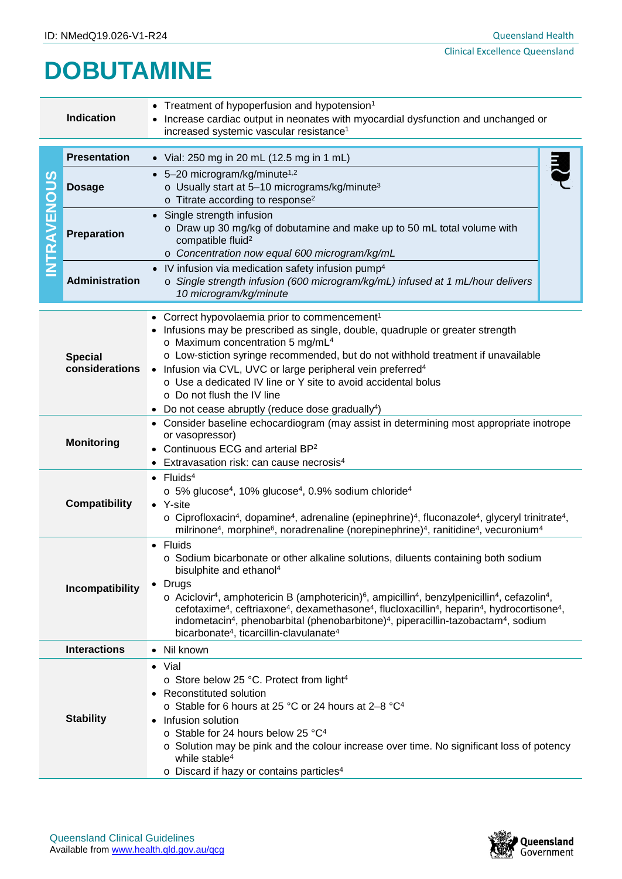## **DOBUTAMINE**

| <b>Indication</b>                                                                                                                                                   |                                                                                                                                                                                                                                                                                                                                                                                                                                                                                                                                                                                                                                                                                                             | • Treatment of hypoperfusion and hypotension <sup>1</sup><br>Increase cardiac output in neonates with myocardial dysfunction and unchanged or<br>increased systemic vascular resistance <sup>1</sup>                                                                                                                                                                                                                                                                                                                   |  |  |
|---------------------------------------------------------------------------------------------------------------------------------------------------------------------|-------------------------------------------------------------------------------------------------------------------------------------------------------------------------------------------------------------------------------------------------------------------------------------------------------------------------------------------------------------------------------------------------------------------------------------------------------------------------------------------------------------------------------------------------------------------------------------------------------------------------------------------------------------------------------------------------------------|------------------------------------------------------------------------------------------------------------------------------------------------------------------------------------------------------------------------------------------------------------------------------------------------------------------------------------------------------------------------------------------------------------------------------------------------------------------------------------------------------------------------|--|--|
|                                                                                                                                                                     | <b>Presentation</b>                                                                                                                                                                                                                                                                                                                                                                                                                                                                                                                                                                                                                                                                                         | • Vial: 250 mg in 20 mL (12.5 mg in 1 mL)                                                                                                                                                                                                                                                                                                                                                                                                                                                                              |  |  |
| S<br><b>INTRAVENOU</b>                                                                                                                                              | <b>Dosage</b>                                                                                                                                                                                                                                                                                                                                                                                                                                                                                                                                                                                                                                                                                               | $\bullet$ 5-20 microgram/kg/minute <sup>1,2</sup><br>o Usually start at 5-10 micrograms/kg/minute <sup>3</sup><br>o Titrate according to response <sup>2</sup>                                                                                                                                                                                                                                                                                                                                                         |  |  |
|                                                                                                                                                                     | <b>Preparation</b>                                                                                                                                                                                                                                                                                                                                                                                                                                                                                                                                                                                                                                                                                          | • Single strength infusion<br>o Draw up 30 mg/kg of dobutamine and make up to 50 mL total volume with<br>compatible fluid <sup>2</sup><br>o Concentration now equal 600 microgram/kg/mL                                                                                                                                                                                                                                                                                                                                |  |  |
|                                                                                                                                                                     | <b>Administration</b>                                                                                                                                                                                                                                                                                                                                                                                                                                                                                                                                                                                                                                                                                       | • IV infusion via medication safety infusion pump <sup>4</sup><br>o Single strength infusion (600 microgram/kg/mL) infused at 1 mL/hour delivers<br>10 microgram/kg/minute                                                                                                                                                                                                                                                                                                                                             |  |  |
|                                                                                                                                                                     | <b>Special</b><br>considerations                                                                                                                                                                                                                                                                                                                                                                                                                                                                                                                                                                                                                                                                            | • Correct hypovolaemia prior to commencement <sup>1</sup><br>Infusions may be prescribed as single, double, quadruple or greater strength<br>o Maximum concentration 5 mg/mL <sup>4</sup><br>o Low-stiction syringe recommended, but do not withhold treatment if unavailable<br>• Infusion via CVL, UVC or large peripheral vein preferred <sup>4</sup><br>o Use a dedicated IV line or Y site to avoid accidental bolus<br>○ Do not flush the IV line<br>Do not cease abruptly (reduce dose gradually <sup>4</sup> ) |  |  |
| <b>Monitoring</b>                                                                                                                                                   |                                                                                                                                                                                                                                                                                                                                                                                                                                                                                                                                                                                                                                                                                                             | • Consider baseline echocardiogram (may assist in determining most appropriate inotrope<br>or vasopressor)<br>Continuous ECG and arterial BP <sup>2</sup><br>• Extravasation risk: can cause necrosis <sup>4</sup>                                                                                                                                                                                                                                                                                                     |  |  |
| $\bullet$ Fluids <sup>4</sup><br>$\circ$ 5% glucose <sup>4</sup> , 10% glucose <sup>4</sup> , 0.9% sodium chloride <sup>4</sup><br><b>Compatibility</b><br>• Y-site |                                                                                                                                                                                                                                                                                                                                                                                                                                                                                                                                                                                                                                                                                                             | $\circ$ Ciprofloxacin <sup>4</sup> , dopamine <sup>4</sup> , adrenaline (epinephrine) <sup>4</sup> , fluconazole <sup>4</sup> , glyceryl trinitrate <sup>4</sup> ,<br>milrinone <sup>4</sup> , morphine <sup>6</sup> , noradrenaline (norepinephrine) <sup>4</sup> , ranitidine <sup>4</sup> , vecuronium <sup>4</sup>                                                                                                                                                                                                 |  |  |
|                                                                                                                                                                     | • Fluids<br>○ Sodium bicarbonate or other alkaline solutions, diluents containing both sodium<br>bisulphite and ethanol <sup>4</sup><br>• Drugs<br>Incompatibility<br>$\circ$ Aciclovir <sup>4</sup> , amphotericin B (amphotericin) <sup>6</sup> , ampicillin <sup>4</sup> , benzylpenicillin <sup>4</sup> , cefazolin <sup>4</sup> ,<br>cefotaxime <sup>4</sup> , ceftriaxone <sup>4</sup> , dexamethasone <sup>4</sup> , flucloxacillin <sup>4</sup> , heparin <sup>4</sup> , hydrocortisone <sup>4</sup> ,<br>indometacin <sup>4</sup> , phenobarbital (phenobarbitone) <sup>4</sup> , piperacillin-tazobactam <sup>4</sup> , sodium<br>bicarbonate <sup>4</sup> , ticarcillin-clavulanate <sup>4</sup> |                                                                                                                                                                                                                                                                                                                                                                                                                                                                                                                        |  |  |
|                                                                                                                                                                     | <b>Interactions</b><br>• Nil known                                                                                                                                                                                                                                                                                                                                                                                                                                                                                                                                                                                                                                                                          |                                                                                                                                                                                                                                                                                                                                                                                                                                                                                                                        |  |  |
| <b>Stability</b>                                                                                                                                                    |                                                                                                                                                                                                                                                                                                                                                                                                                                                                                                                                                                                                                                                                                                             | $\bullet$ Vial<br>○ Store below 25 °C. Protect from light <sup>4</sup><br>Reconstituted solution<br>o Stable for 6 hours at 25 °C or 24 hours at 2-8 °C <sup>4</sup><br>• Infusion solution<br>o Stable for 24 hours below 25 °C <sup>4</sup><br>$\circ$ Solution may be pink and the colour increase over time. No significant loss of potency<br>while stable <sup>4</sup><br>o Discard if hazy or contains particles <sup>4</sup>                                                                                   |  |  |